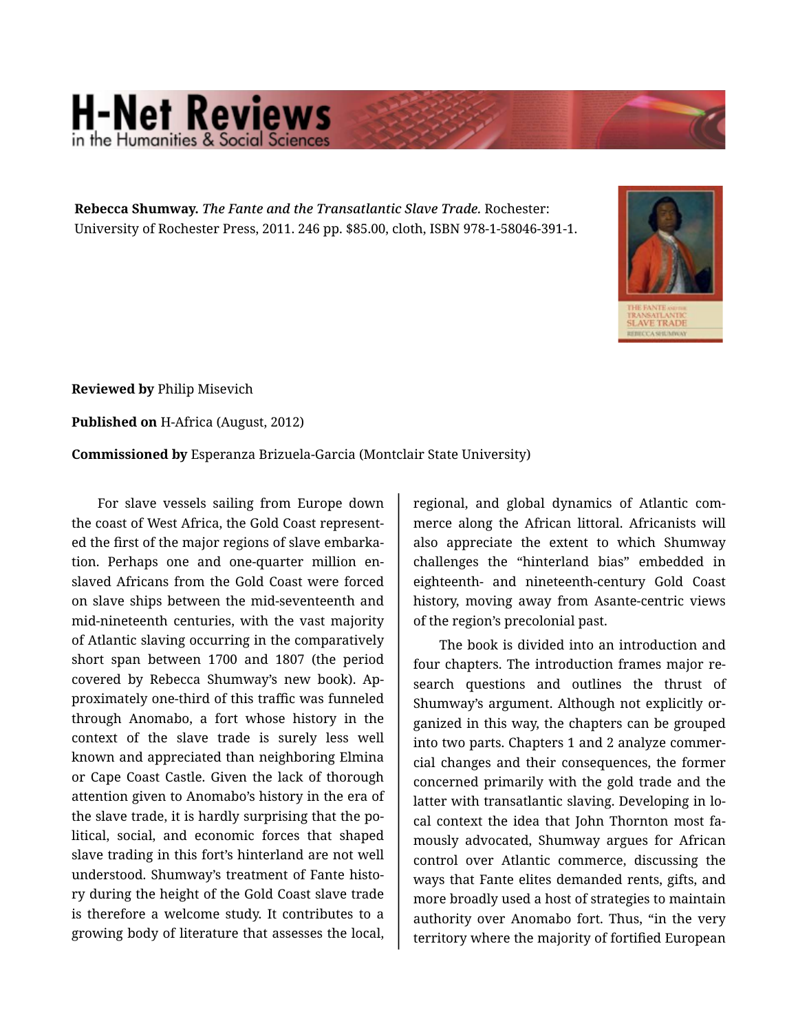## **H-Net Reviews**

**Rebecca Shumway.** *The Fante and the Transatlantic Slave Trade.* Rochester: University of Rochester Press, 2011. 246 pp. \$85.00, cloth, ISBN 978-1-58046-391-1.



**Reviewed by** Philip Misevich

**Published on** H-Africa (August, 2012)

**Commissioned by** Esperanza Brizuela-Garcia (Montclair State University)

For slave vessels sailing from Europe down the coast of West Africa, the Gold Coast represent‐ ed the first of the major regions of slave embarka‐ tion. Perhaps one and one-quarter million en‐ slaved Africans from the Gold Coast were forced on slave ships between the mid-seventeenth and mid-nineteenth centuries, with the vast majority of Atlantic slaving occurring in the comparatively short span between 1700 and 1807 (the period covered by Rebecca Shumway's new book). Ap‐ proximately one-third of this traffic was funneled through Anomabo, a fort whose history in the context of the slave trade is surely less well known and appreciated than neighboring Elmina or Cape Coast Castle. Given the lack of thorough attention given to Anomabo's history in the era of the slave trade, it is hardly surprising that the po‐ litical, social, and economic forces that shaped slave trading in this fort's hinterland are not well understood. Shumway's treatment of Fante histo‐ ry during the height of the Gold Coast slave trade is therefore a welcome study. It contributes to a growing body of literature that assesses the local,

regional, and global dynamics of Atlantic com‐ merce along the African littoral. Africanists will also appreciate the extent to which Shumway challenges the "hinterland bias" embedded in eighteenth- and nineteenth-century Gold Coast history, moving away from Asante-centric views of the region's precolonial past.

The book is divided into an introduction and four chapters. The introduction frames major re‐ search questions and outlines the thrust of Shumway's argument. Although not explicitly or‐ ganized in this way, the chapters can be grouped into two parts. Chapters 1 and 2 analyze commer‐ cial changes and their consequences, the former concerned primarily with the gold trade and the latter with transatlantic slaving. Developing in lo‐ cal context the idea that John Thornton most fa‐ mously advocated, Shumway argues for African control over Atlantic commerce, discussing the ways that Fante elites demanded rents, gifts, and more broadly used a host of strategies to maintain authority over Anomabo fort. Thus, "in the very territory where the majority of fortified European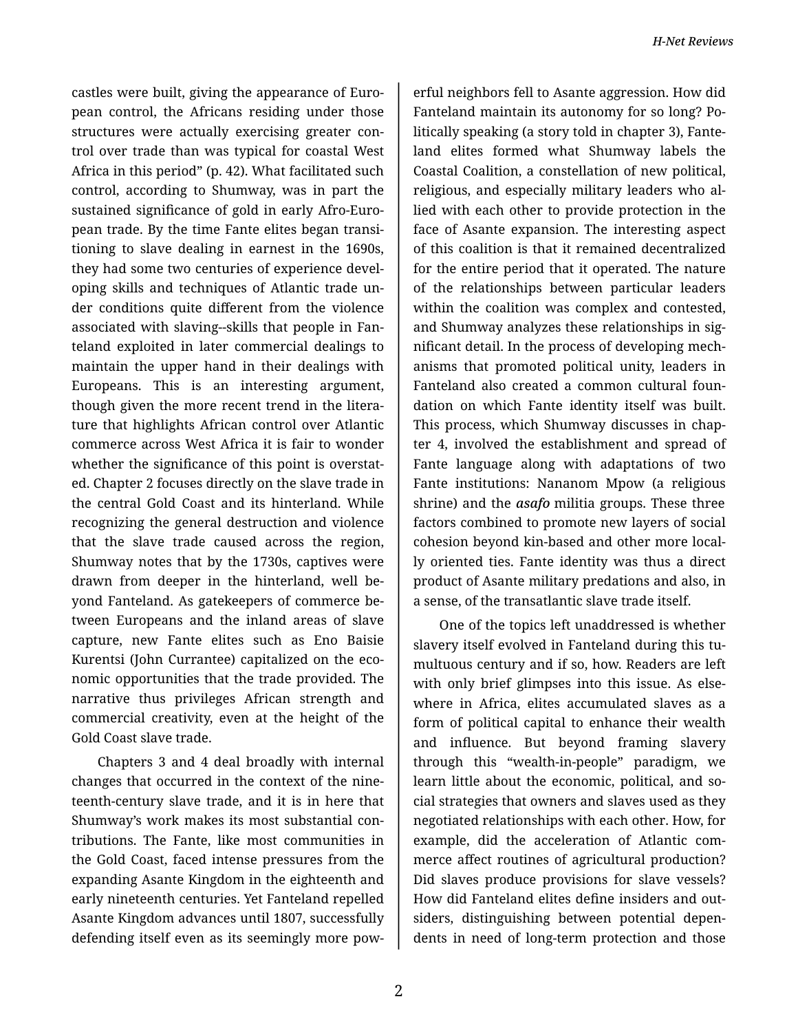castles were built, giving the appearance of Euro‐ pean control, the Africans residing under those structures were actually exercising greater con‐ trol over trade than was typical for coastal West Africa in this period" (p. 42). What facilitated such control, according to Shumway, was in part the sustained significance of gold in early Afro-Euro‐ pean trade. By the time Fante elites began transi‐ tioning to slave dealing in earnest in the 1690s, they had some two centuries of experience devel‐ oping skills and techniques of Atlantic trade un‐ der conditions quite different from the violence associated with slaving--skills that people in Fan‐ teland exploited in later commercial dealings to maintain the upper hand in their dealings with Europeans. This is an interesting argument, though given the more recent trend in the litera‐ ture that highlights African control over Atlantic commerce across West Africa it is fair to wonder whether the significance of this point is overstated. Chapter 2 focuses directly on the slave trade in the central Gold Coast and its hinterland. While recognizing the general destruction and violence that the slave trade caused across the region, Shumway notes that by the 1730s, captives were drawn from deeper in the hinterland, well be‐ yond Fanteland. As gatekeepers of commerce be‐ tween Europeans and the inland areas of slave capture, new Fante elites such as Eno Baisie Kurentsi (John Currantee) capitalized on the eco‐ nomic opportunities that the trade provided. The narrative thus privileges African strength and commercial creativity, even at the height of the Gold Coast slave trade.

Chapters 3 and 4 deal broadly with internal changes that occurred in the context of the nine‐ teenth-century slave trade, and it is in here that Shumway's work makes its most substantial con‐ tributions. The Fante, like most communities in the Gold Coast, faced intense pressures from the expanding Asante Kingdom in the eighteenth and early nineteenth centuries. Yet Fanteland repelled Asante Kingdom advances until 1807, successfully defending itself even as its seemingly more pow‐

erful neighbors fell to Asante aggression. How did Fanteland maintain its autonomy for so long? Po‐ litically speaking (a story told in chapter 3), Fante‐ land elites formed what Shumway labels the Coastal Coalition, a constellation of new political, religious, and especially military leaders who al‐ lied with each other to provide protection in the face of Asante expansion. The interesting aspect of this coalition is that it remained decentralized for the entire period that it operated. The nature of the relationships between particular leaders within the coalition was complex and contested, and Shumway analyzes these relationships in sig‐ nificant detail. In the process of developing mech‐ anisms that promoted political unity, leaders in Fanteland also created a common cultural foun‐ dation on which Fante identity itself was built. This process, which Shumway discusses in chap‐ ter 4, involved the establishment and spread of Fante language along with adaptations of two Fante institutions: Nananom Mpow (a religious shrine) and the *asafo* militia groups. These three factors combined to promote new layers of social cohesion beyond kin-based and other more local‐ ly oriented ties. Fante identity was thus a direct product of Asante military predations and also, in a sense, of the transatlantic slave trade itself.

One of the topics left unaddressed is whether slavery itself evolved in Fanteland during this tu‐ multuous century and if so, how. Readers are left with only brief glimpses into this issue. As elsewhere in Africa, elites accumulated slaves as a form of political capital to enhance their wealth and influence. But beyond framing slavery through this "wealth-in-people" paradigm, we learn little about the economic, political, and social strategies that owners and slaves used as they negotiated relationships with each other. How, for example, did the acceleration of Atlantic com‐ merce affect routines of agricultural production? Did slaves produce provisions for slave vessels? How did Fanteland elites define insiders and out‐ siders, distinguishing between potential depen‐ dents in need of long-term protection and those